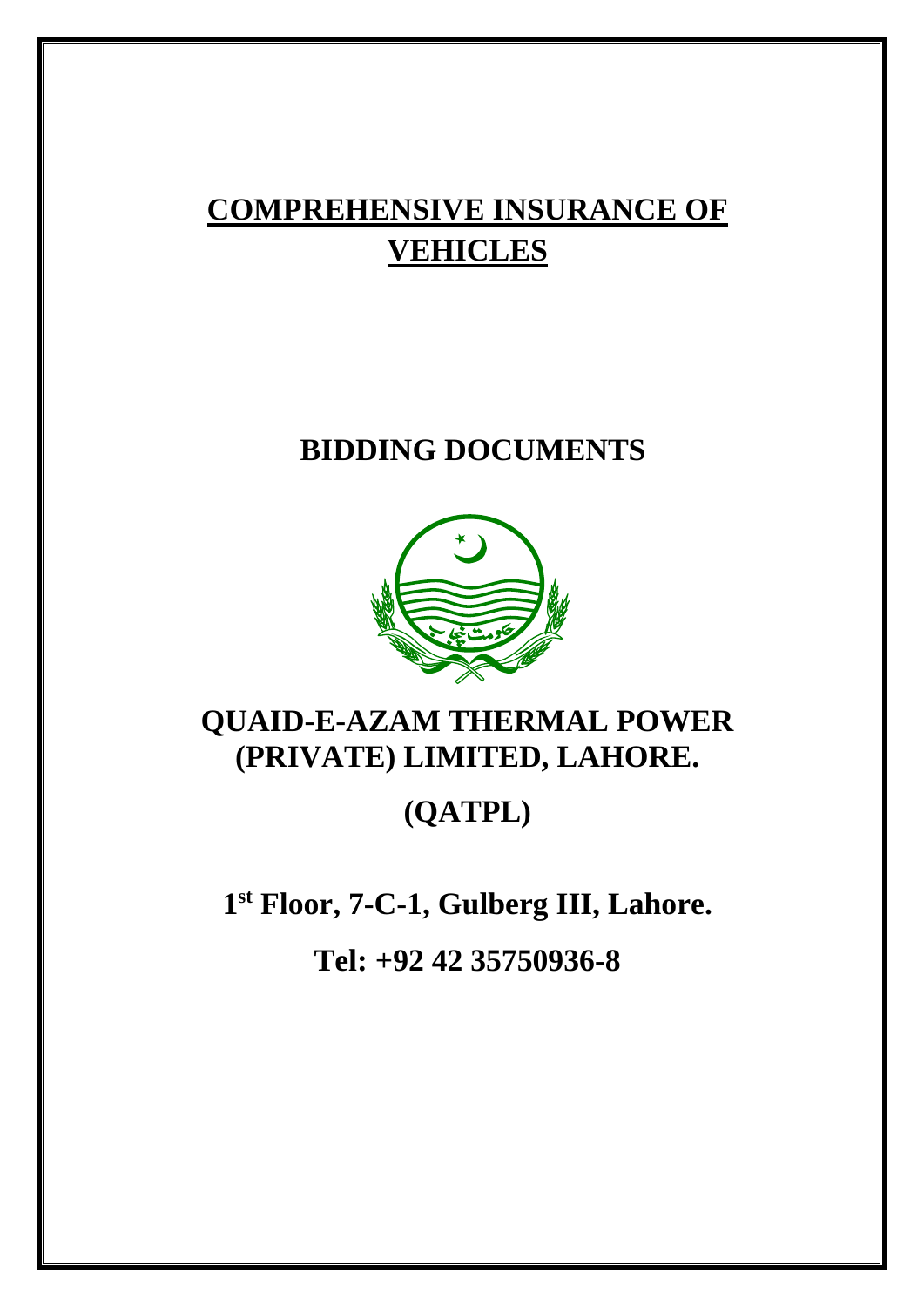# **COMPREHENSIVE INSURANCE OF VEHICLES**

# **BIDDING DOCUMENTS**



# **QUAID-E-AZAM THERMAL POWER (PRIVATE) LIMITED, LAHORE.**

# **(QATPL)**

**1st Floor, 7-C-1, Gulberg III, Lahore.**

**Tel: +92 42 35750936-8**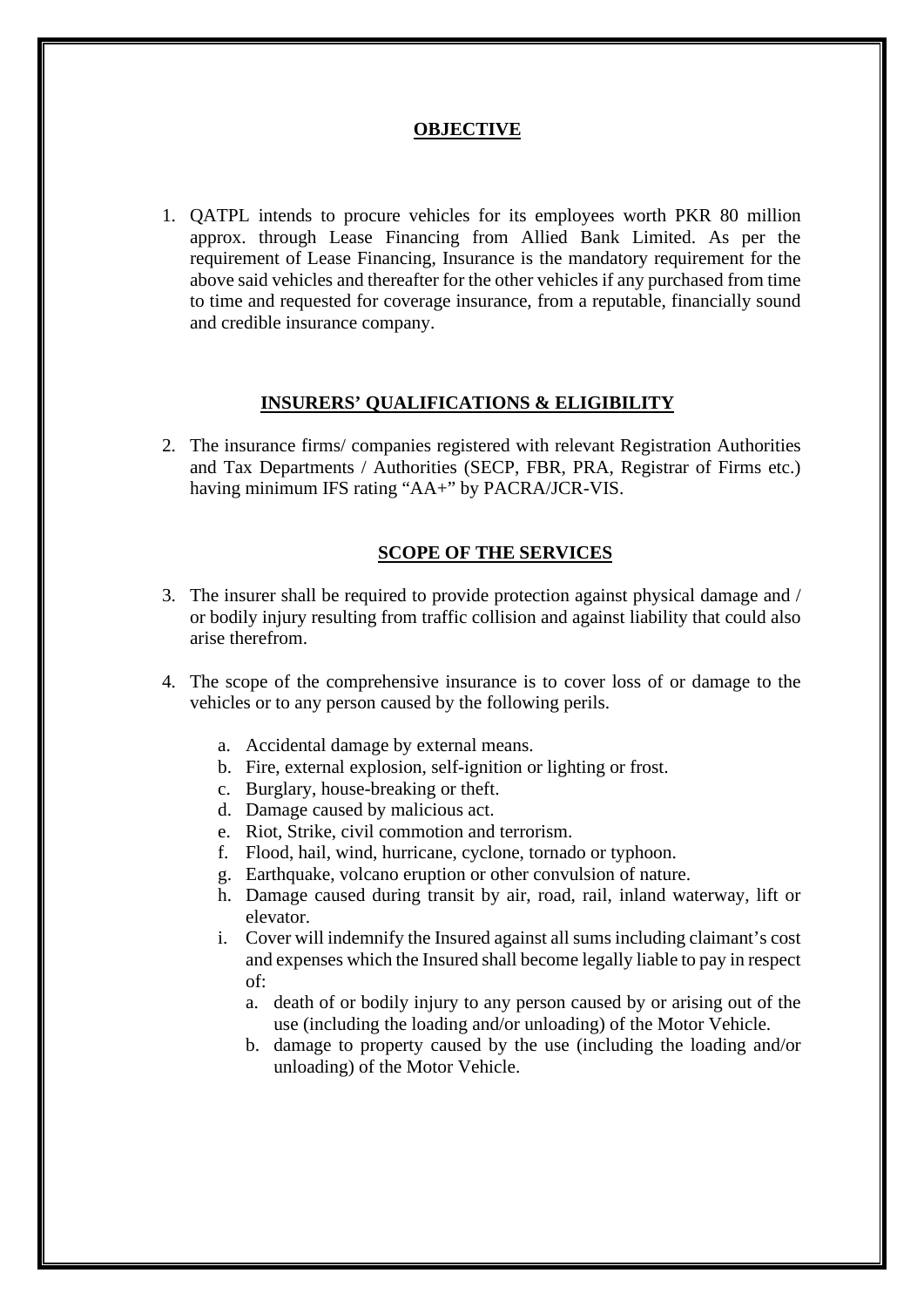## **OBJECTIVE**

1. QATPL intends to procure vehicles for its employees worth PKR 80 million approx. through Lease Financing from Allied Bank Limited. As per the requirement of Lease Financing, Insurance is the mandatory requirement for the above said vehicles and thereafter for the other vehicles if any purchased from time to time and requested for coverage insurance, from a reputable, financially sound and credible insurance company.

### **INSURERS' QUALIFICATIONS & ELIGIBILITY**

2. The insurance firms/ companies registered with relevant Registration Authorities and Tax Departments / Authorities (SECP, FBR, PRA, Registrar of Firms etc.) having minimum IFS rating "AA+" by PACRA/JCR-VIS.

### **SCOPE OF THE SERVICES**

- 3. The insurer shall be required to provide protection against physical damage and / or bodily injury resulting from traffic collision and against liability that could also arise therefrom.
- 4. The scope of the comprehensive insurance is to cover loss of or damage to the vehicles or to any person caused by the following perils.
	- a. Accidental damage by external means.
	- b. Fire, external explosion, self-ignition or lighting or frost.
	- c. Burglary, house-breaking or theft.
	- d. Damage caused by malicious act.
	- e. Riot, Strike, civil commotion and terrorism.
	- f. Flood, hail, wind, hurricane, cyclone, tornado or typhoon.
	- g. Earthquake, volcano eruption or other convulsion of nature.
	- h. Damage caused during transit by air, road, rail, inland waterway, lift or elevator.
	- i. Cover will indemnify the Insured against all sums including claimant's cost and expenses which the Insured shall become legally liable to pay in respect of:
		- a. death of or bodily injury to any person caused by or arising out of the use (including the loading and/or unloading) of the Motor Vehicle.
		- b. damage to property caused by the use (including the loading and/or unloading) of the Motor Vehicle.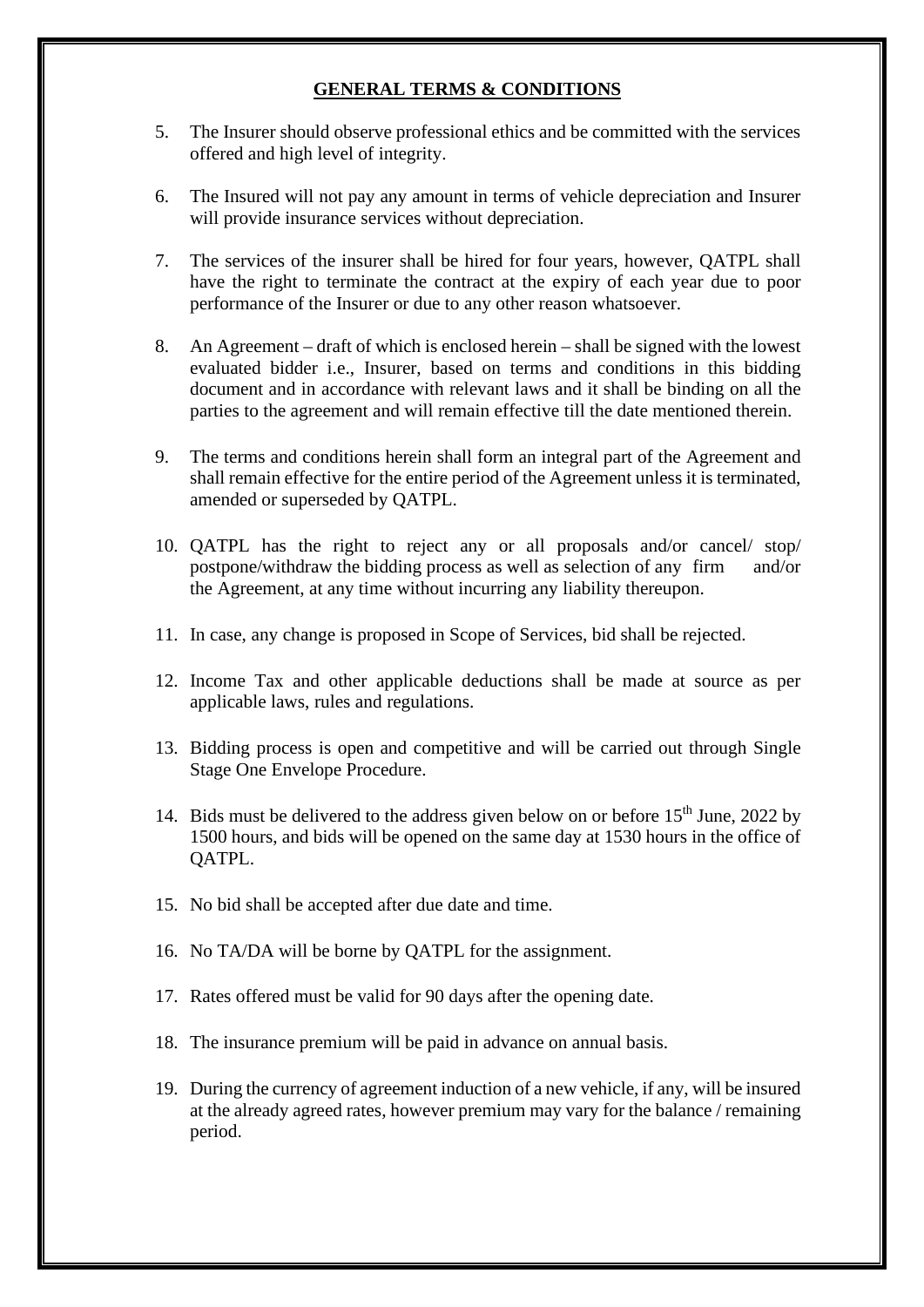# **GENERAL TERMS & CONDITIONS**

- 5. The Insurer should observe professional ethics and be committed with the services offered and high level of integrity.
- 6. The Insured will not pay any amount in terms of vehicle depreciation and Insurer will provide insurance services without depreciation.
- 7. The services of the insurer shall be hired for four years, however, QATPL shall have the right to terminate the contract at the expiry of each year due to poor performance of the Insurer or due to any other reason whatsoever.
- 8. An Agreement draft of which is enclosed herein shall be signed with the lowest evaluated bidder i.e., Insurer, based on terms and conditions in this bidding document and in accordance with relevant laws and it shall be binding on all the parties to the agreement and will remain effective till the date mentioned therein.
- 9. The terms and conditions herein shall form an integral part of the Agreement and shall remain effective for the entire period of the Agreement unless it is terminated, amended or superseded by QATPL.
- 10. QATPL has the right to reject any or all proposals and/or cancel/ stop/ postpone/withdraw the bidding process as well as selection of any firm and/or the Agreement, at any time without incurring any liability thereupon.
- 11. In case, any change is proposed in Scope of Services, bid shall be rejected.
- 12. Income Tax and other applicable deductions shall be made at source as per applicable laws, rules and regulations.
- 13. Bidding process is open and competitive and will be carried out through Single Stage One Envelope Procedure.
- 14. Bids must be delivered to the address given below on or before 15<sup>th</sup> June, 2022 by 1500 hours, and bids will be opened on the same day at 1530 hours in the office of QATPL.
- 15. No bid shall be accepted after due date and time.
- 16. No TA/DA will be borne by QATPL for the assignment.
- 17. Rates offered must be valid for 90 days after the opening date.
- 18. The insurance premium will be paid in advance on annual basis.
- 19. During the currency of agreement induction of a new vehicle, if any, will be insured at the already agreed rates, however premium may vary for the balance / remaining period.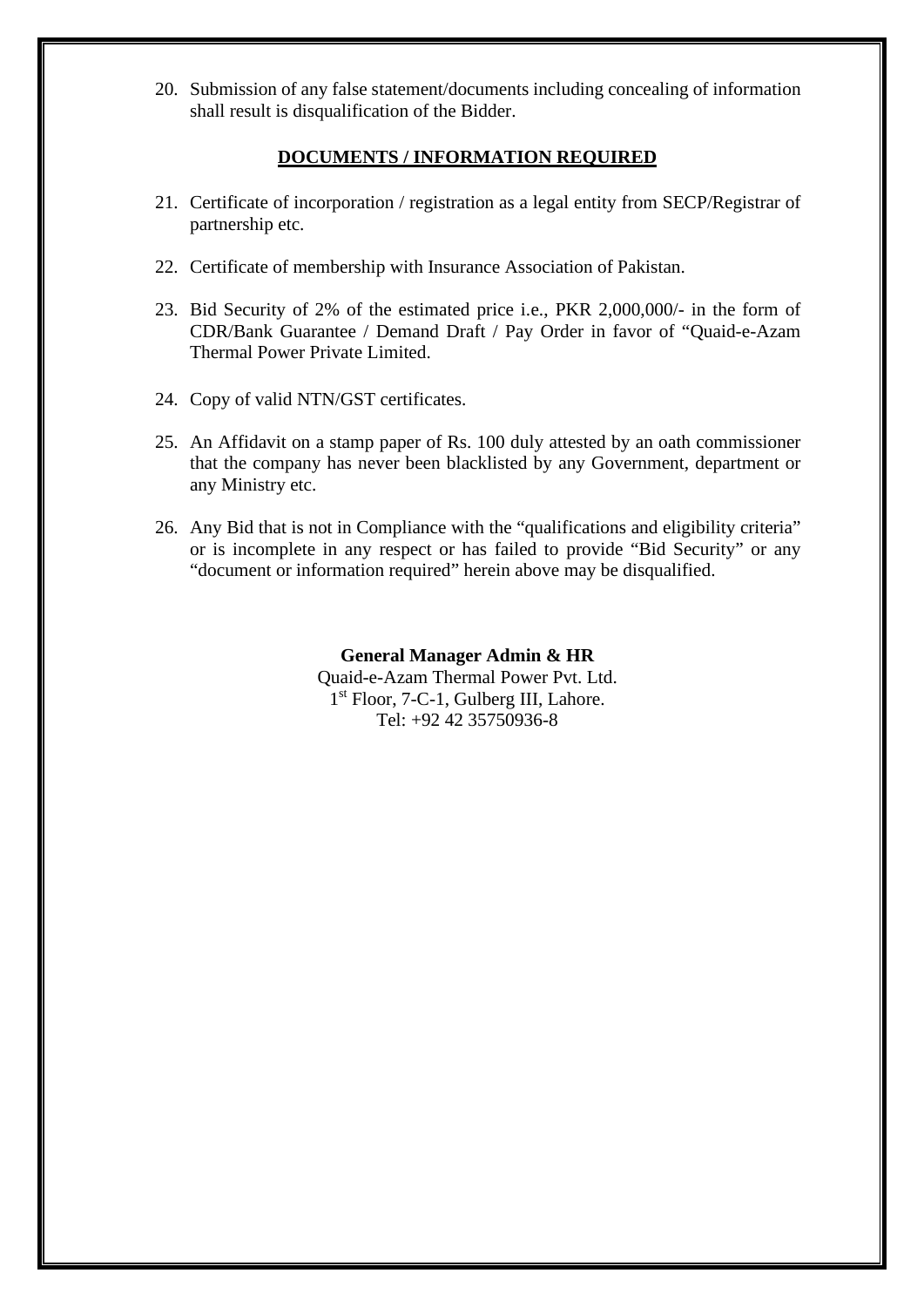20. Submission of any false statement/documents including concealing of information shall result is disqualification of the Bidder.

# **DOCUMENTS / INFORMATION REQUIRED**

- 21. Certificate of incorporation / registration as a legal entity from SECP/Registrar of partnership etc.
- 22. Certificate of membership with Insurance Association of Pakistan.
- 23. Bid Security of 2% of the estimated price i.e., PKR 2,000,000/- in the form of CDR/Bank Guarantee / Demand Draft / Pay Order in favor of "Quaid-e-Azam Thermal Power Private Limited.
- 24. Copy of valid NTN/GST certificates.
- 25. An Affidavit on a stamp paper of Rs. 100 duly attested by an oath commissioner that the company has never been blacklisted by any Government, department or any Ministry etc.
- 26. Any Bid that is not in Compliance with the "qualifications and eligibility criteria" or is incomplete in any respect or has failed to provide "Bid Security" or any "document or information required" herein above may be disqualified.

# **General Manager Admin & HR** Quaid-e-Azam Thermal Power Pvt. Ltd. 1st Floor, 7-C-1, Gulberg III, Lahore. Tel: +92 42 35750936-8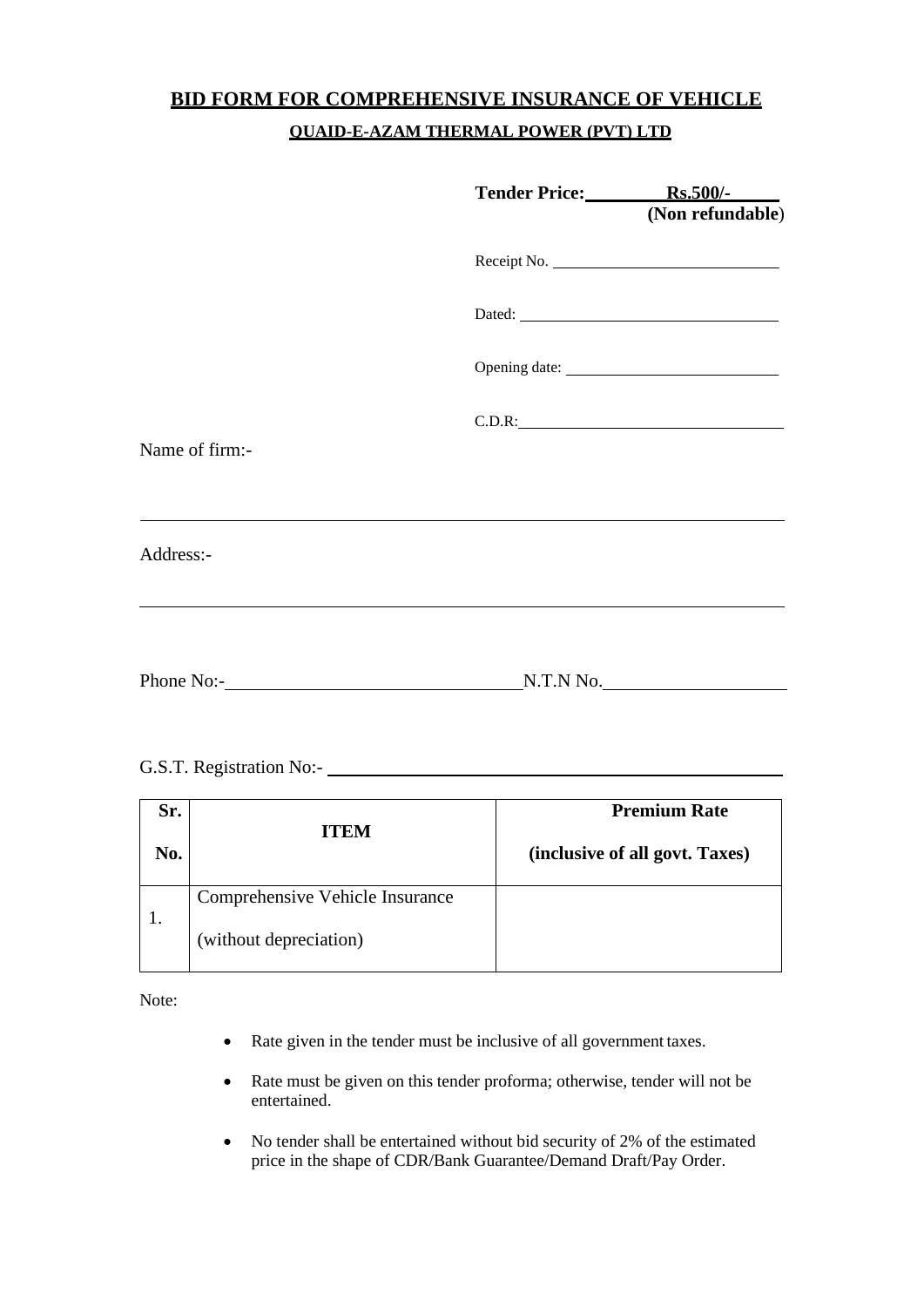# **BID FORM FOR COMPREHENSIVE INSURANCE OF VEHICLE QUAID-E-AZAM THERMAL POWER (PVT) LTD**

|                | Tender Price: Rs.500/-<br>(Non refundable) |
|----------------|--------------------------------------------|
|                | Receipt No.                                |
|                | Dated:                                     |
|                |                                            |
|                | C.D.R:                                     |
| Name of firm:- |                                            |
|                |                                            |
| Address:-      |                                            |
|                |                                            |
|                | N.T.N No.                                  |

# G.S.T. Registration No:-

| Sr. | <b>ITEM</b>                     | <b>Premium Rate</b>            |
|-----|---------------------------------|--------------------------------|
| No. |                                 | (inclusive of all govt. Taxes) |
|     | Comprehensive Vehicle Insurance |                                |
|     | (without depreciation)          |                                |

Note:

- Rate given in the tender must be inclusive of all government taxes.
- Rate must be given on this tender proforma; otherwise, tender will not be entertained.
- No tender shall be entertained without bid security of 2% of the estimated price in the shape of CDR/Bank Guarantee/Demand Draft/Pay Order.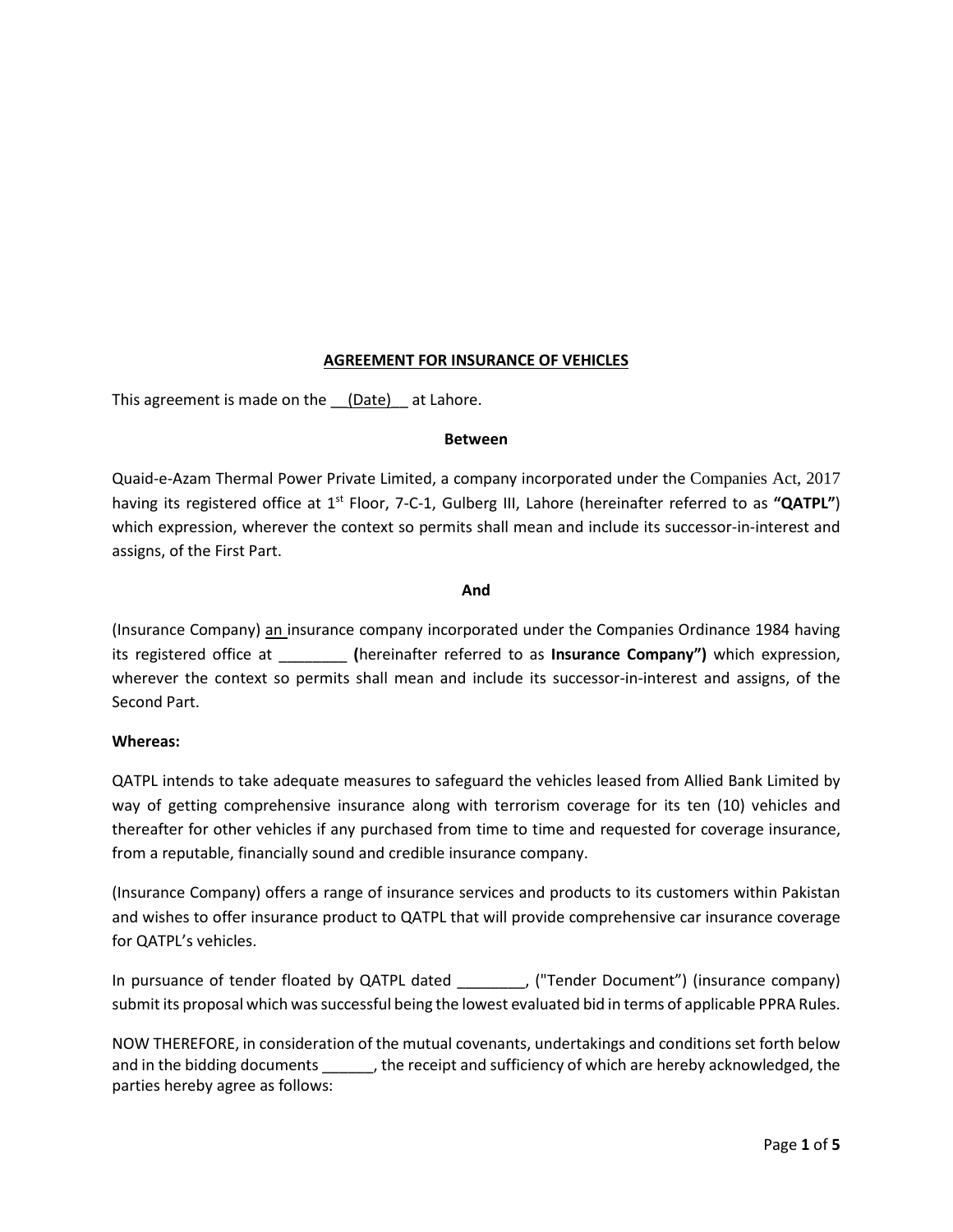## **AGREEMENT FOR INSURANCE OF VEHICLES**

This agreement is made on the (Date) at Lahore.

#### **Between**

Quaid-e-Azam Thermal Power Private Limited, a company incorporated under the Companies Act, 2017 having its registered office at 1<sup>st</sup> Floor, 7-C-1, Gulberg III, Lahore (hereinafter referred to as "QATPL") which expression, wherever the context so permits shall mean and include its successor-in-interest and assigns, of the First Part.

#### **And**

(Insurance Company) an insurance company incorporated under the Companies Ordinance 1984 having its registered office at \_\_\_\_\_\_\_\_ **(**hereinafter referred to as **Insurance Company")** which expression, wherever the context so permits shall mean and include its successor-in-interest and assigns, of the Second Part.

### **Whereas:**

QATPL intends to take adequate measures to safeguard the vehicles leased from Allied Bank Limited by way of getting comprehensive insurance along with terrorism coverage for its ten (10) vehicles and thereafter for other vehicles if any purchased from time to time and requested for coverage insurance, from a reputable, financially sound and credible insurance company.

(Insurance Company) offers a range of insurance services and products to its customers within Pakistan and wishes to offer insurance product to QATPL that will provide comprehensive car insurance coverage for QATPL's vehicles.

In pursuance of tender floated by QATPL dated \_\_\_\_\_\_\_\_, ("Tender Document") (insurance company) submit its proposal which was successful being the lowest evaluated bid in terms of applicable PPRA Rules.

NOW THEREFORE, in consideration of the mutual covenants, undertakings and conditions set forth below and in the bidding documents \_\_\_\_\_\_, the receipt and sufficiency of which are hereby acknowledged, the parties hereby agree as follows: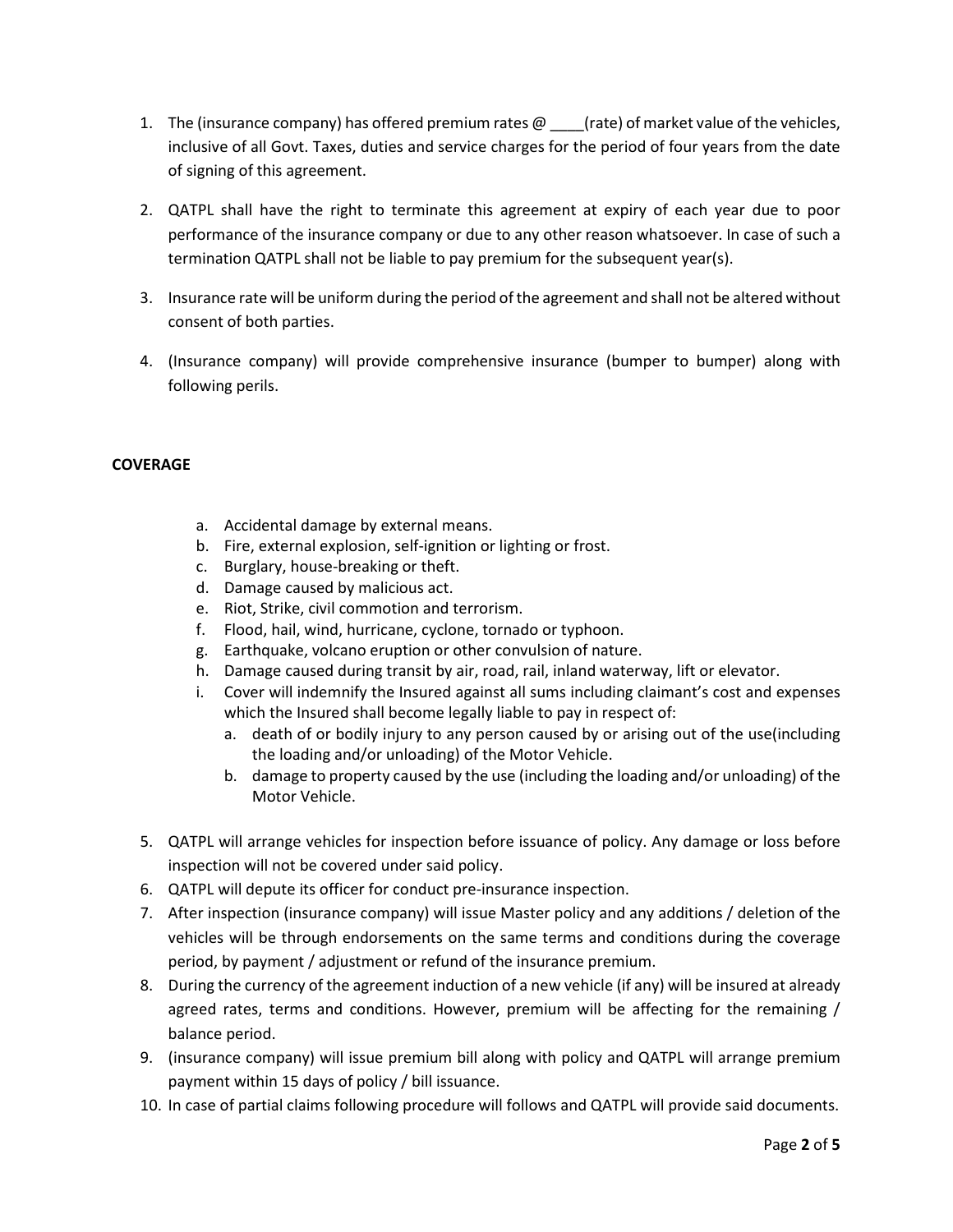- 1. The (insurance company) has offered premium rates  $\omega$  [rate) of market value of the vehicles, inclusive of all Govt. Taxes, duties and service charges for the period of four years from the date of signing of this agreement.
- 2. QATPL shall have the right to terminate this agreement at expiry of each year due to poor performance of the insurance company or due to any other reason whatsoever. In case of such a termination QATPL shall not be liable to pay premium for the subsequent year(s).
- 3. Insurance rate will be uniform during the period of the agreement and shall not be altered without consent of both parties.
- 4. (Insurance company) will provide comprehensive insurance (bumper to bumper) along with following perils.

## **COVERAGE**

- a. Accidental damage by external means.
- b. Fire, external explosion, self-ignition or lighting or frost.
- c. Burglary, house-breaking or theft.
- d. Damage caused by malicious act.
- e. Riot, Strike, civil commotion and terrorism.
- f. Flood, hail, wind, hurricane, cyclone, tornado or typhoon.
- g. Earthquake, volcano eruption or other convulsion of nature.
- h. Damage caused during transit by air, road, rail, inland waterway, lift or elevator.
- i. Cover will indemnify the Insured against all sums including claimant's cost and expenses which the Insured shall become legally liable to pay in respect of:
	- a. death of or bodily injury to any person caused by or arising out of the use(including the loading and/or unloading) of the Motor Vehicle.
	- b. damage to property caused by the use (including the loading and/or unloading) of the Motor Vehicle.
- 5. QATPL will arrange vehicles for inspection before issuance of policy. Any damage or loss before inspection will not be covered under said policy.
- 6. QATPL will depute its officer for conduct pre-insurance inspection.
- 7. After inspection (insurance company) will issue Master policy and any additions / deletion of the vehicles will be through endorsements on the same terms and conditions during the coverage period, by payment / adjustment or refund of the insurance premium.
- 8. During the currency of the agreement induction of a new vehicle (if any) will be insured at already agreed rates, terms and conditions. However, premium will be affecting for the remaining / balance period.
- 9. (insurance company) will issue premium bill along with policy and QATPL will arrange premium payment within 15 days of policy / bill issuance.
- 10. In case of partial claims following procedure will follows and QATPL will provide said documents.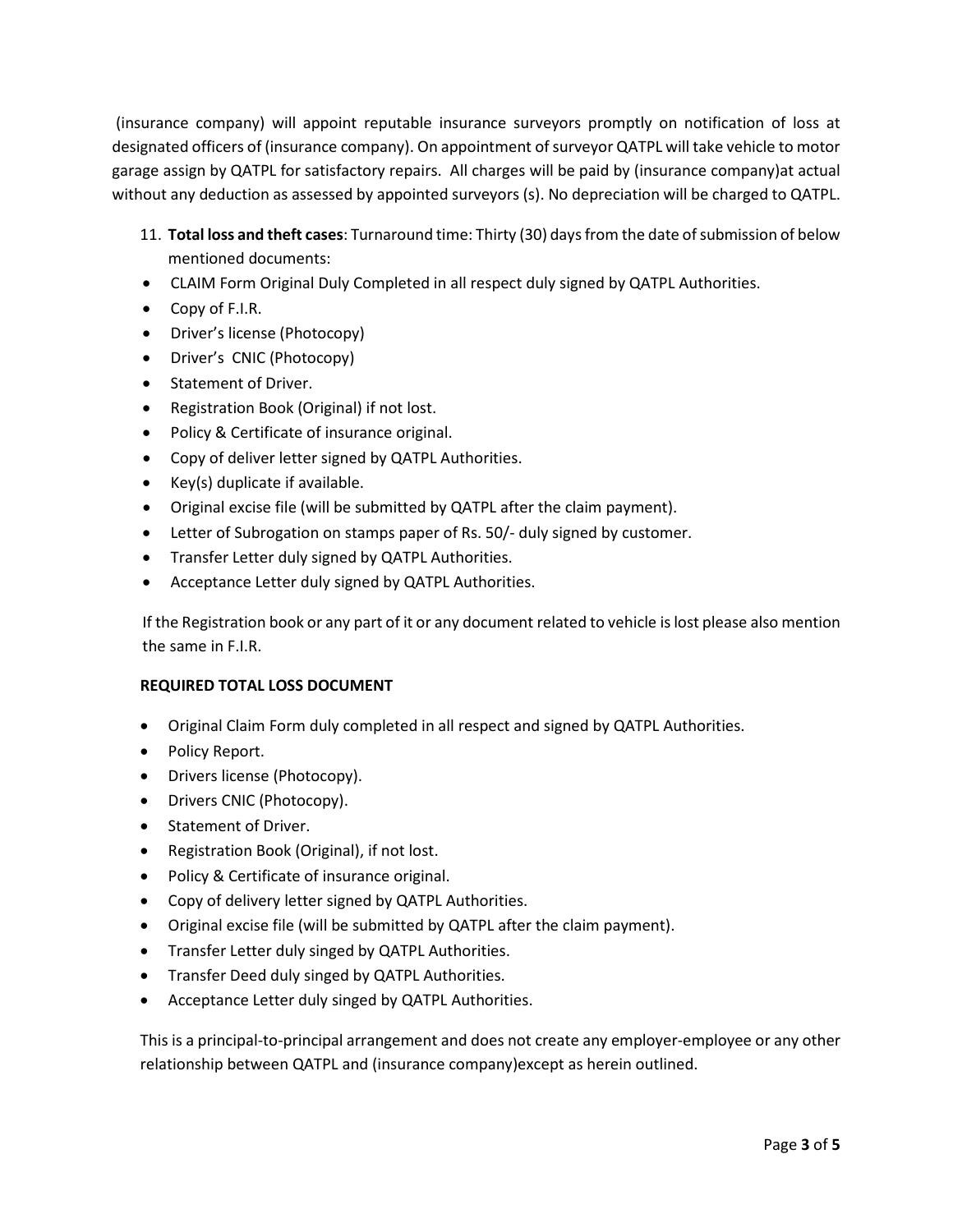(insurance company) will appoint reputable insurance surveyors promptly on notification of loss at designated officers of (insurance company). On appointment of surveyor QATPL will take vehicle to motor garage assign by QATPL for satisfactory repairs. All charges will be paid by (insurance company)at actual without any deduction as assessed by appointed surveyors (s). No depreciation will be charged to QATPL.

- 11. **Total loss and theft cases**: Turnaround time: Thirty (30) days from the date of submission of below mentioned documents:
- CLAIM Form Original Duly Completed in all respect duly signed by QATPL Authorities.
- Copy of F.I.R.
- Driver's license (Photocopy)
- Driver's CNIC (Photocopy)
- Statement of Driver.
- Registration Book (Original) if not lost.
- Policy & Certificate of insurance original.
- Copy of deliver letter signed by QATPL Authorities.
- Key(s) duplicate if available.
- Original excise file (will be submitted by QATPL after the claim payment).
- Letter of Subrogation on stamps paper of Rs. 50/- duly signed by customer.
- Transfer Letter duly signed by QATPL Authorities.
- Acceptance Letter duly signed by QATPL Authorities.

If the Registration book or any part of it or any document related to vehicle is lost please also mention the same in F.I.R.

### **REQUIRED TOTAL LOSS DOCUMENT**

- Original Claim Form duly completed in all respect and signed by QATPL Authorities.
- Policy Report.
- Drivers license (Photocopy).
- Drivers CNIC (Photocopy).
- Statement of Driver.
- Registration Book (Original), if not lost.
- Policy & Certificate of insurance original.
- Copy of delivery letter signed by QATPL Authorities.
- Original excise file (will be submitted by QATPL after the claim payment).
- Transfer Letter duly singed by QATPL Authorities.
- Transfer Deed duly singed by QATPL Authorities.
- Acceptance Letter duly singed by QATPL Authorities.

This is a principal-to-principal arrangement and does not create any employer-employee or any other relationship between QATPL and (insurance company)except as herein outlined.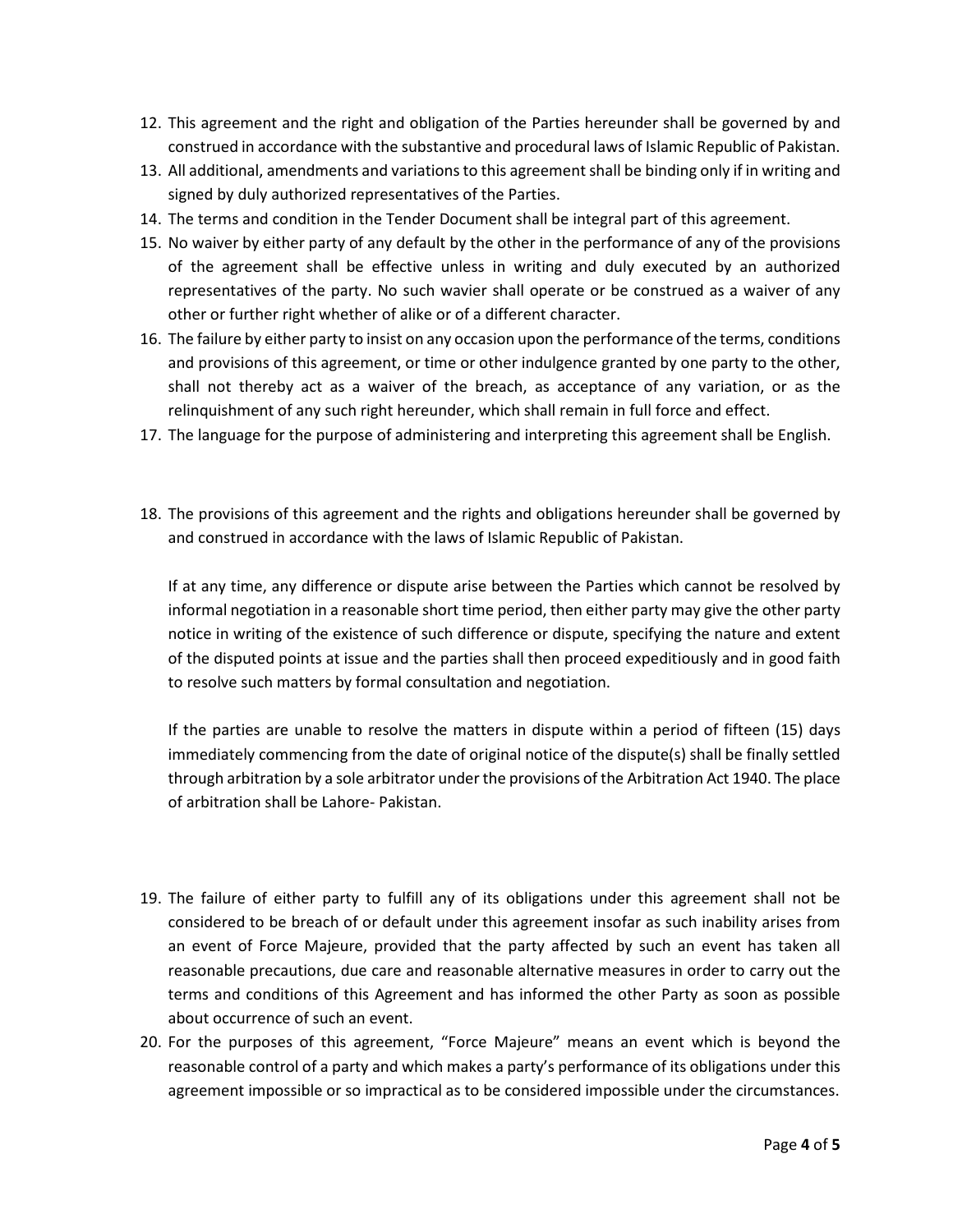- 12. This agreement and the right and obligation of the Parties hereunder shall be governed by and construed in accordance with the substantive and procedural laws of Islamic Republic of Pakistan.
- 13. All additional, amendments and variations to this agreement shall be binding only if in writing and signed by duly authorized representatives of the Parties.
- 14. The terms and condition in the Tender Document shall be integral part of this agreement.
- 15. No waiver by either party of any default by the other in the performance of any of the provisions of the agreement shall be effective unless in writing and duly executed by an authorized representatives of the party. No such wavier shall operate or be construed as a waiver of any other or further right whether of alike or of a different character.
- 16. The failure by either party to insist on any occasion upon the performance of the terms, conditions and provisions of this agreement, or time or other indulgence granted by one party to the other, shall not thereby act as a waiver of the breach, as acceptance of any variation, or as the relinquishment of any such right hereunder, which shall remain in full force and effect.
- 17. The language for the purpose of administering and interpreting this agreement shall be English.
- 18. The provisions of this agreement and the rights and obligations hereunder shall be governed by and construed in accordance with the laws of Islamic Republic of Pakistan.

If at any time, any difference or dispute arise between the Parties which cannot be resolved by informal negotiation in a reasonable short time period, then either party may give the other party notice in writing of the existence of such difference or dispute, specifying the nature and extent of the disputed points at issue and the parties shall then proceed expeditiously and in good faith to resolve such matters by formal consultation and negotiation.

If the parties are unable to resolve the matters in dispute within a period of fifteen (15) days immediately commencing from the date of original notice of the dispute(s) shall be finally settled through arbitration by a sole arbitrator under the provisions of the Arbitration Act 1940. The place of arbitration shall be Lahore- Pakistan.

- 19. The failure of either party to fulfill any of its obligations under this agreement shall not be considered to be breach of or default under this agreement insofar as such inability arises from an event of Force Majeure, provided that the party affected by such an event has taken all reasonable precautions, due care and reasonable alternative measures in order to carry out the terms and conditions of this Agreement and has informed the other Party as soon as possible about occurrence of such an event.
- 20. For the purposes of this agreement, "Force Majeure" means an event which is beyond the reasonable control of a party and which makes a party's performance of its obligations under this agreement impossible or so impractical as to be considered impossible under the circumstances.